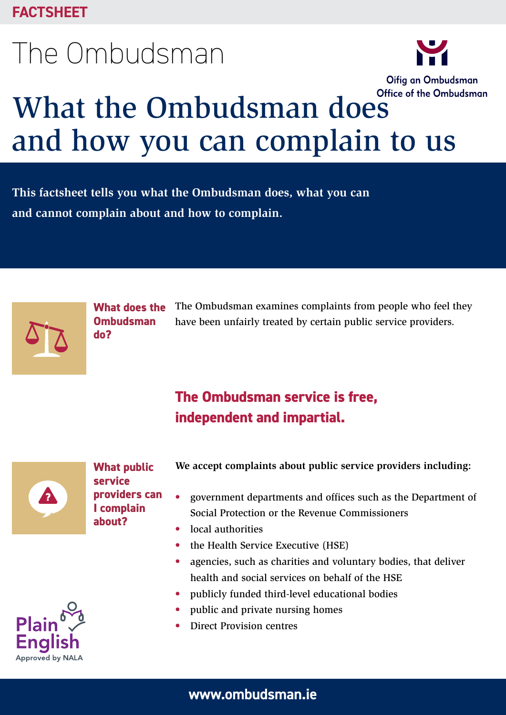# The Ombudsman



# What the Ombudsman does<sup>Office of the Ombudsman</sup> and how you can complain to us

**This factsheet tells you what the Ombudsman does, what you can and cannot complain about and how to complain.**



**What does the Ombudsman do?**

The Ombudsman examines complaints from people who feel they have been unfairly treated by certain public service providers.

# **The Ombudsman service is free, independent and impartial.**



**What public service providers can I complain about?**

**We accept complaints about public service providers including:**

- government departments and offices such as the Department of Social Protection or the Revenue Commissioners
- local authorities
- the Health Service Executive (HSE)
- agencies, such as charities and voluntary bodies, that deliver health and social services on behalf of the HSE
- publicly funded third-level educational bodies
- public and private nursing homes
- Direct Provision centres

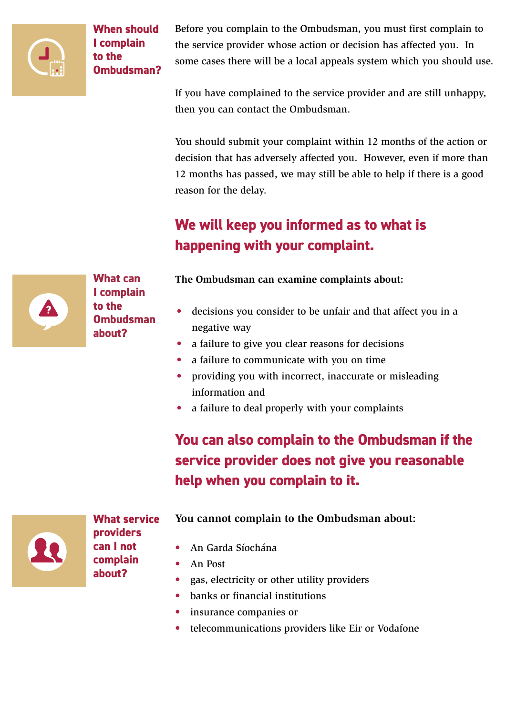

**When should I complain to the Ombudsman?** Before you complain to the Ombudsman, you must first complain to the service provider whose action or decision has affected you. In some cases there will be a local appeals system which you should use.

If you have complained to the service provider and are still unhappy, then you can contact the Ombudsman.

You should submit your complaint within 12 months of the action or decision that has adversely affected you. However, even if more than 12 months has passed, we may still be able to help if there is a good reason for the delay.

# **We will keep you informed as to what is happening with your complaint.**

**What can I complain to the Ombudsman about?**

**The Ombudsman can examine complaints about:**

- decisions you consider to be unfair and that affect you in a negative way
- a failure to give you clear reasons for decisions
- a failure to communicate with you on time
- providing you with incorrect, inaccurate or misleading information and
- a failure to deal properly with your complaints

**You can also complain to the Ombudsman if the service provider does not give you reasonable help when you complain to it.**

#### **What service providers can I not complain about?**

#### **You cannot complain to the Ombudsman about:**

- An Garda Síochána
- An Post
- gas, electricity or other utility providers
- banks or financial institutions
- insurance companies or
- telecommunications providers like Eir or Vodafone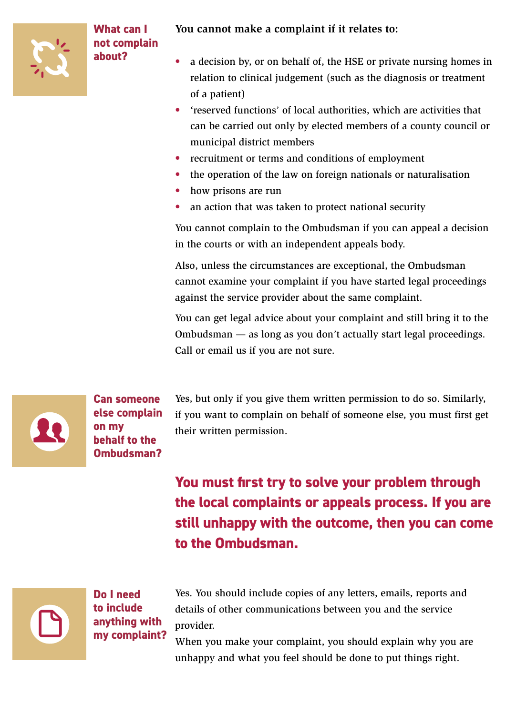

**What can I not complain about?**

#### **You cannot make a complaint if it relates to:**

- a decision by, or on behalf of, the HSE or private nursing homes in relation to clinical judgement (such as the diagnosis or treatment of a patient)
- 'reserved functions' of local authorities, which are activities that can be carried out only by elected members of a county council or municipal district members
- recruitment or terms and conditions of employment
- the operation of the law on foreign nationals or naturalisation
- how prisons are run
- an action that was taken to protect national security

You cannot complain to the Ombudsman if you can appeal a decision in the courts or with an independent appeals body.

Also, unless the circumstances are exceptional, the Ombudsman cannot examine your complaint if you have started legal proceedings against the service provider about the same complaint.

You can get legal advice about your complaint and still bring it to the Ombudsman — as long as you don't actually start legal proceedings. Call or email us if you are not sure.



**Can someone else complain on my behalf to the Ombudsman?**

Yes, but only if you give them written permission to do so. Similarly, if you want to complain on behalf of someone else, you must first get their written permission.

# **You must first try to solve your problem through the local complaints or appeals process. If you are still unhappy with the outcome, then you can come to the Ombudsman.**



**Do I need to include anything with my complaint?**

Yes. You should include copies of any letters, emails, reports and details of other communications between you and the service provider.

When you make your complaint, you should explain why you are unhappy and what you feel should be done to put things right.